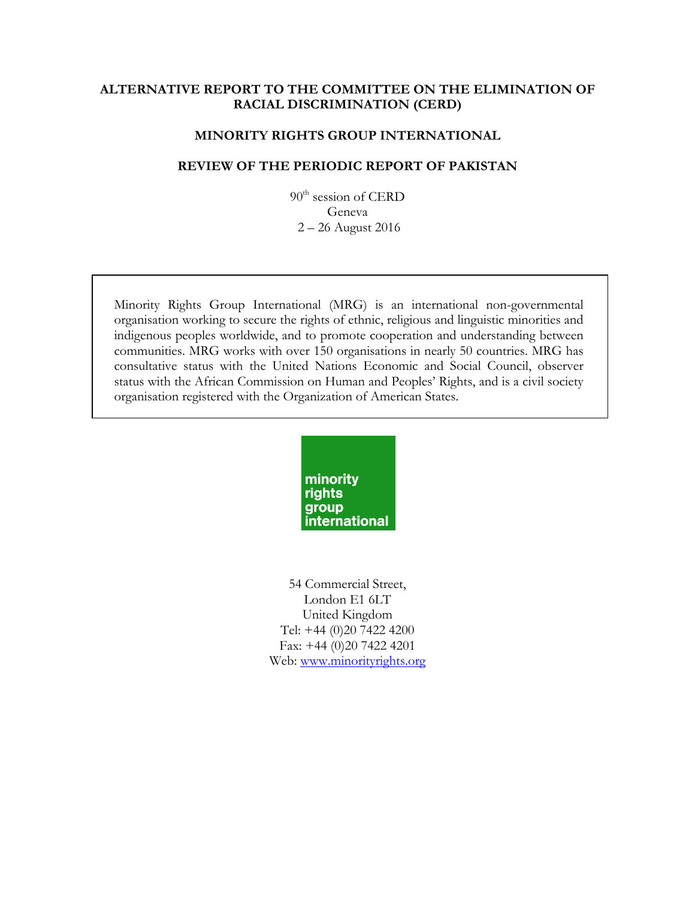### **ALTERNATIVE REPORT TO THE COMMITTEE ON THE ELIMINATION OF RACIAL DISCRIMINATION (CERD)**

### **MINORITY RIGHTS GROUP INTERNATIONAL**

### **REVIEW OF THE PERIODIC REPORT OF PAKISTAN**

90<sup>th</sup> session of CERD Geneva 2 – 26 August 2016

Minority Rights Group International (MRG) is an international non-governmental organisation working to secure the rights of ethnic, religious and linguistic minorities and indigenous peoples worldwide, and to promote cooperation and understanding between communities. MRG works with over 150 organisations in nearly 50 countries. MRG has consultative status with the United Nations Economic and Social Council, observer status with the African Commission on Human and Peoples' Rights, and is a civil society organisation registered with the Organization of American States.



54 Commercial Street, London E1 6LT United Kingdom Tel: +44 (0)20 7422 4200 Fax: +44 (0)20 7422 4201 Web: www.minorityrights.org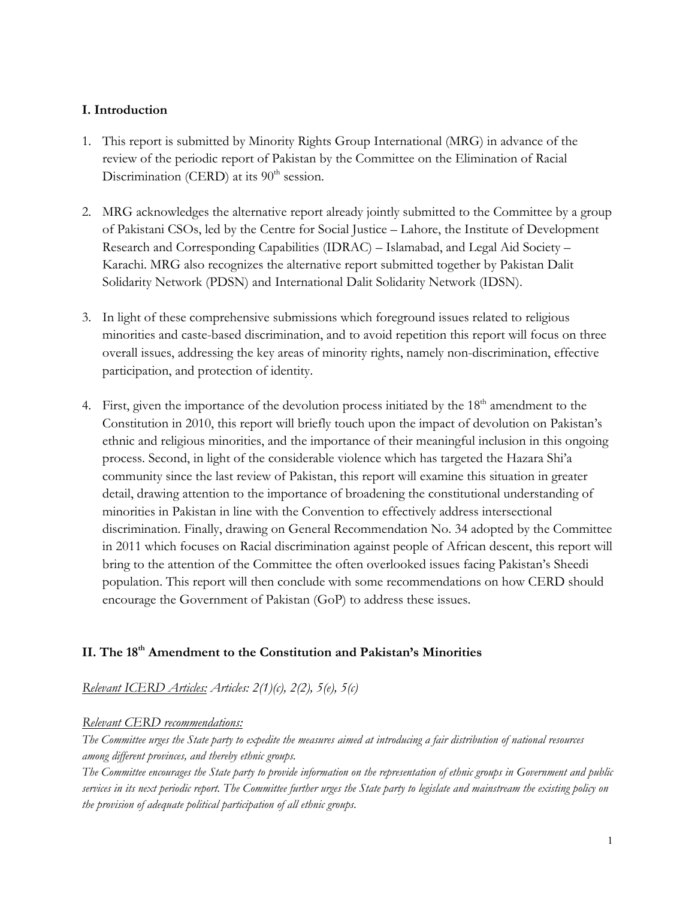# **I. Introduction**

- 1. This report is submitted by Minority Rights Group International (MRG) in advance of the review of the periodic report of Pakistan by the Committee on the Elimination of Racial Discrimination (CERD) at its  $90<sup>th</sup>$  session.
- 2. MRG acknowledges the alternative report already jointly submitted to the Committee by a group of Pakistani CSOs, led by the Centre for Social Justice – Lahore, the Institute of Development Research and Corresponding Capabilities (IDRAC) – Islamabad, and Legal Aid Society – Karachi. MRG also recognizes the alternative report submitted together by Pakistan Dalit Solidarity Network (PDSN) and International Dalit Solidarity Network (IDSN).
- 3. In light of these comprehensive submissions which foreground issues related to religious minorities and caste-based discrimination, and to avoid repetition this report will focus on three overall issues, addressing the key areas of minority rights, namely non-discrimination, effective participation, and protection of identity.
- 4. First, given the importance of the devolution process initiated by the  $18<sup>th</sup>$  amendment to the Constitution in 2010, this report will briefly touch upon the impact of devolution on Pakistan's ethnic and religious minorities, and the importance of their meaningful inclusion in this ongoing process. Second, in light of the considerable violence which has targeted the Hazara Shi'a community since the last review of Pakistan, this report will examine this situation in greater detail, drawing attention to the importance of broadening the constitutional understanding of minorities in Pakistan in line with the Convention to effectively address intersectional discrimination. Finally, drawing on General Recommendation No. 34 adopted by the Committee in 2011 which focuses on Racial discrimination against people of African descent, this report will bring to the attention of the Committee the often overlooked issues facing Pakistan's Sheedi population. This report will then conclude with some recommendations on how CERD should encourage the Government of Pakistan (GoP) to address these issues.

# **II. The 18th Amendment to the Constitution and Pakistan's Minorities**

*Relevant ICERD Articles: Articles: 2(1)(c), 2(2), 5(e), 5(c)*

# *Relevant CERD recommendations:*

*The Committee urges the State party to expedite the measures aimed at introducing a fair distribution of national resources among different provinces, and thereby ethnic groups.* 

*The Committee encourages the State party to provide information on the representation of ethnic groups in Government and public services in its next periodic report. The Committee further urges the State party to legislate and mainstream the existing policy on the provision of adequate political participation of all ethnic groups.*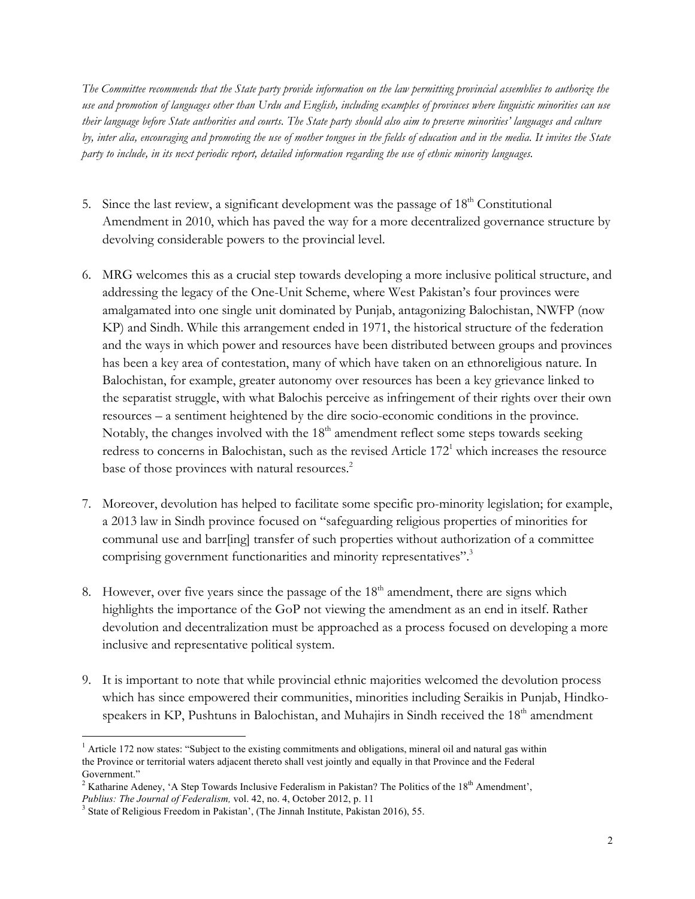*The Committee recommends that the State party provide information on the law permitting provincial assemblies to authorize the use and promotion of languages other than Urdu and English, including examples of provinces where linguistic minorities can use their language before State authorities and courts. The State party should also aim to preserve minorities' languages and culture by, inter alia, encouraging and promoting the use of mother tongues in the fields of education and in the media. It invites the State party to include, in its next periodic report, detailed information regarding the use of ethnic minority languages.*

- 5. Since the last review, a significant development was the passage of  $18<sup>th</sup>$  Constitutional Amendment in 2010, which has paved the way for a more decentralized governance structure by devolving considerable powers to the provincial level.
- 6. MRG welcomes this as a crucial step towards developing a more inclusive political structure, and addressing the legacy of the One-Unit Scheme, where West Pakistan's four provinces were amalgamated into one single unit dominated by Punjab, antagonizing Balochistan, NWFP (now KP) and Sindh. While this arrangement ended in 1971, the historical structure of the federation and the ways in which power and resources have been distributed between groups and provinces has been a key area of contestation, many of which have taken on an ethnoreligious nature. In Balochistan, for example, greater autonomy over resources has been a key grievance linked to the separatist struggle, with what Balochis perceive as infringement of their rights over their own resources – a sentiment heightened by the dire socio-economic conditions in the province. Notably, the changes involved with the  $18<sup>th</sup>$  amendment reflect some steps towards seeking redress to concerns in Balochistan, such as the revised Article 172<sup>1</sup> which increases the resource base of those provinces with natural resources.<sup>2</sup>
- 7. Moreover, devolution has helped to facilitate some specific pro-minority legislation; for example, a 2013 law in Sindh province focused on "safeguarding religious properties of minorities for communal use and barr[ing] transfer of such properties without authorization of a committee comprising government functionarities and minority representatives".<sup>3</sup>
- 8. However, over five years since the passage of the  $18<sup>th</sup>$  amendment, there are signs which highlights the importance of the GoP not viewing the amendment as an end in itself. Rather devolution and decentralization must be approached as a process focused on developing a more inclusive and representative political system.
- 9. It is important to note that while provincial ethnic majorities welcomed the devolution process which has since empowered their communities, minorities including Seraikis in Punjab, Hindkospeakers in KP, Pushtuns in Balochistan, and Muhajirs in Sindh received the 18<sup>th</sup> amendment

<sup>&</sup>lt;sup>1</sup> Article 172 now states: "Subject to the existing commitments and obligations, mineral oil and natural gas within the Province or territorial waters adjacent thereto shall vest jointly and equally in that Province and the Federal Government."

<sup>&</sup>lt;sup>2</sup> Katharine Adeney, 'A Step Towards Inclusive Federalism in Pakistan? The Politics of the  $18<sup>th</sup>$  Amendment',

*Publius: The Journal of Federalism,* vol. 42, no. 4, October 2012, p. 11

<sup>&</sup>lt;sup>3</sup> State of Religious Freedom in Pakistan', (The Jinnah Institute, Pakistan 2016), 55.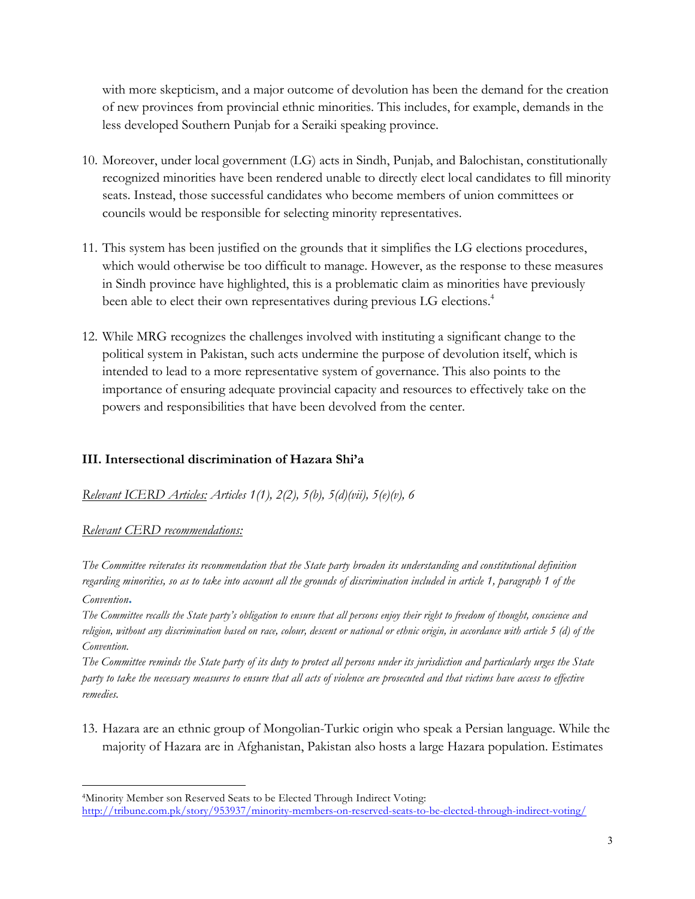with more skepticism, and a major outcome of devolution has been the demand for the creation of new provinces from provincial ethnic minorities. This includes, for example, demands in the less developed Southern Punjab for a Seraiki speaking province.

- 10. Moreover, under local government (LG) acts in Sindh, Punjab, and Balochistan, constitutionally recognized minorities have been rendered unable to directly elect local candidates to fill minority seats. Instead, those successful candidates who become members of union committees or councils would be responsible for selecting minority representatives.
- 11. This system has been justified on the grounds that it simplifies the LG elections procedures, which would otherwise be too difficult to manage. However, as the response to these measures in Sindh province have highlighted, this is a problematic claim as minorities have previously been able to elect their own representatives during previous LG elections.<sup>4</sup>
- 12. While MRG recognizes the challenges involved with instituting a significant change to the political system in Pakistan, such acts undermine the purpose of devolution itself, which is intended to lead to a more representative system of governance. This also points to the importance of ensuring adequate provincial capacity and resources to effectively take on the powers and responsibilities that have been devolved from the center.

# **III. Intersectional discrimination of Hazara Shi'a**

*Relevant ICERD Articles: Articles 1(1), 2(2), 5(b), 5(d)(vii), 5(e)(v), 6* 

### *Relevant CERD recommendations:*

*The Committee reiterates its recommendation that the State party broaden its understanding and constitutional definition regarding minorities, so as to take into account all the grounds of discrimination included in article 1, paragraph 1 of the Convention***.**

*The Committee recalls the State party's obligation to ensure that all persons enjoy their right to freedom of thought, conscience and religion, without any discrimination based on race, colour, descent or national or ethnic origin, in accordance with article 5 (d) of the Convention.* 

*The Committee reminds the State party of its duty to protect all persons under its jurisdiction and particularly urges the State party to take the necessary measures to ensure that all acts of violence are prosecuted and that victims have access to effective remedies.*

13. Hazara are an ethnic group of Mongolian-Turkic origin who speak a Persian language. While the majority of Hazara are in Afghanistan, Pakistan also hosts a large Hazara population. Estimates

<sup>1</sup> 4Minority Member son Reserved Seats to be Elected Through Indirect Voting: http://tribune.com.pk/story/953937/minority-members-on-reserved-seats-to-be-elected-through-indirect-voting/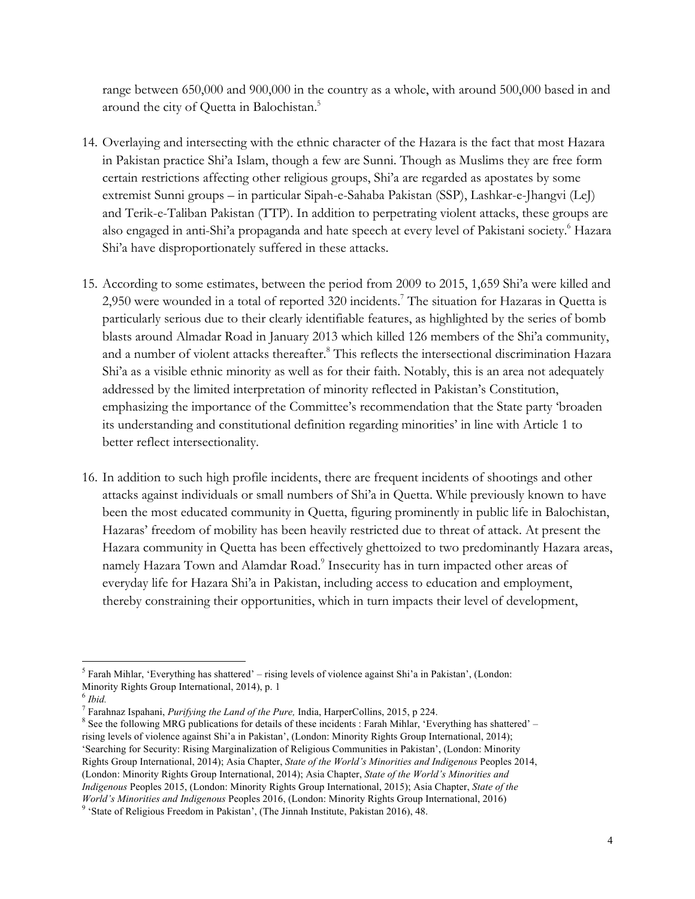range between 650,000 and 900,000 in the country as a whole, with around 500,000 based in and around the city of Quetta in Balochistan.<sup>5</sup>

- 14. Overlaying and intersecting with the ethnic character of the Hazara is the fact that most Hazara in Pakistan practice Shi'a Islam, though a few are Sunni. Though as Muslims they are free form certain restrictions affecting other religious groups, Shi'a are regarded as apostates by some extremist Sunni groups – in particular Sipah-e-Sahaba Pakistan (SSP), Lashkar-e-Jhangvi (LeJ) and Terik-e-Taliban Pakistan (TTP). In addition to perpetrating violent attacks, these groups are also engaged in anti-Shi'a propaganda and hate speech at every level of Pakistani society.<sup>6</sup> Hazara Shi'a have disproportionately suffered in these attacks.
- 15. According to some estimates, between the period from 2009 to 2015, 1,659 Shi'a were killed and 2,950 were wounded in a total of reported 320 incidents.<sup>7</sup> The situation for Hazaras in Quetta is particularly serious due to their clearly identifiable features, as highlighted by the series of bomb blasts around Almadar Road in January 2013 which killed 126 members of the Shi'a community, and a number of violent attacks thereafter.<sup>8</sup> This reflects the intersectional discrimination Hazara Shi'a as a visible ethnic minority as well as for their faith. Notably, this is an area not adequately addressed by the limited interpretation of minority reflected in Pakistan's Constitution, emphasizing the importance of the Committee's recommendation that the State party 'broaden its understanding and constitutional definition regarding minorities' in line with Article 1 to better reflect intersectionality.
- 16. In addition to such high profile incidents, there are frequent incidents of shootings and other attacks against individuals or small numbers of Shi'a in Quetta. While previously known to have been the most educated community in Quetta, figuring prominently in public life in Balochistan, Hazaras' freedom of mobility has been heavily restricted due to threat of attack. At present the Hazara community in Quetta has been effectively ghettoized to two predominantly Hazara areas, namely Hazara Town and Alamdar Road.<sup>9</sup> Insecurity has in turn impacted other areas of everyday life for Hazara Shi'a in Pakistan, including access to education and employment, thereby constraining their opportunities, which in turn impacts their level of development,

 $<sup>5</sup>$  Farah Mihlar, 'Everything has shattered' – rising levels of violence against Shi'a in Pakistan', (London:</sup> Minority Rights Group International, 2014), p. 1

 $^6$  *Ibid.*<br><sup>7</sup> Farahnaz Ispahani, *Purifying the Land of the Pure*, India, HarperCollins, 2015, p 224.

<sup>&</sup>lt;sup>8</sup> See the following MRG publications for details of these incidents : Farah Mihlar, 'Everything has shattered' – rising levels of violence against Shi'a in Pakistan', (London: Minority Rights Group International, 2014); 'Searching for Security: Rising Marginalization of Religious Communities in Pakistan', (London: Minority Rights Group International, 2014); Asia Chapter, *State of the World's Minorities and Indigenous* Peoples 2014, (London: Minority Rights Group International, 2014); Asia Chapter, *State of the World's Minorities and Indigenous* Peoples 2015, (London: Minority Rights Group International, 2015); Asia Chapter, *State of the World's Minorities and Indigenous* Peoples 2016, (London: Minority Rights Group International, 2016)

<sup>9</sup> 'State of Religious Freedom in Pakistan', (The Jinnah Institute, Pakistan 2016), 48.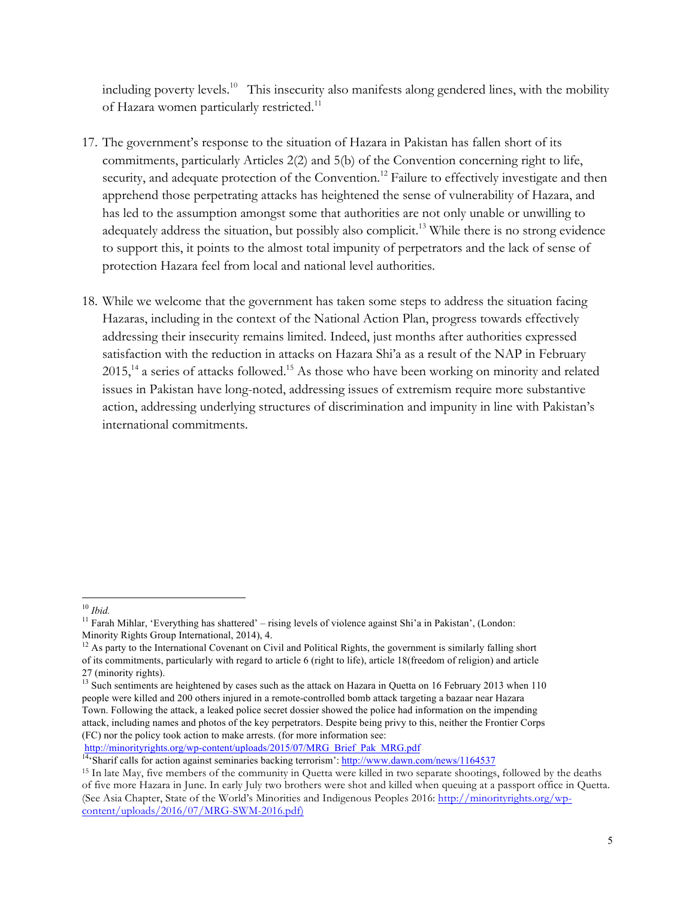including poverty levels.<sup>10</sup> This insecurity also manifests along gendered lines, with the mobility of Hazara women particularly restricted.<sup>11</sup>

- 17. The government's response to the situation of Hazara in Pakistan has fallen short of its commitments, particularly Articles 2(2) and 5(b) of the Convention concerning right to life, security, and adequate protection of the Convention.<sup>12</sup> Failure to effectively investigate and then apprehend those perpetrating attacks has heightened the sense of vulnerability of Hazara, and has led to the assumption amongst some that authorities are not only unable or unwilling to adequately address the situation, but possibly also complicit.<sup>13</sup> While there is no strong evidence to support this, it points to the almost total impunity of perpetrators and the lack of sense of protection Hazara feel from local and national level authorities.
- 18. While we welcome that the government has taken some steps to address the situation facing Hazaras, including in the context of the National Action Plan, progress towards effectively addressing their insecurity remains limited. Indeed, just months after authorities expressed satisfaction with the reduction in attacks on Hazara Shi'a as a result of the NAP in February  $2015$ ,<sup>14</sup> a series of attacks followed.<sup>15</sup> As those who have been working on minority and related issues in Pakistan have long-noted, addressing issues of extremism require more substantive action, addressing underlying structures of discrimination and impunity in line with Pakistan's international commitments.

 <sup>10</sup> *Ibid.* 

<sup>&</sup>lt;sup>11</sup> Farah Mihlar, 'Everything has shattered' – rising levels of violence against Shi'a in Pakistan', (London: Minority Rights Group International, 2014), 4.

 $12$  As party to the International Covenant on Civil and Political Rights, the government is similarly falling short of its commitments, particularly with regard to article 6 (right to life), article 18(freedom of religion) and article 27 (minority rights).

<sup>&</sup>lt;sup>13</sup> Such sentiments are heightened by cases such as the attack on Hazara in Quetta on 16 February 2013 when 110 people were killed and 200 others injured in a remote-controlled bomb attack targeting a bazaar near Hazara Town. Following the attack, a leaked police secret dossier showed the police had information on the impending attack, including names and photos of the key perpetrators. Despite being privy to this, neither the Frontier Corps (FC) nor the policy took action to make arrests. (for more information see:

http://minorityrights.org/wp-content/uploads/2015/07/MRG\_Brief\_Pak\_MRG.pdf

<sup>&</sup>lt;sup>14</sup>'Sharif calls for action against seminaries backing terrorism': http://www.dawn.com/news/1164537

<sup>15</sup> In late May, five members of the community in Quetta were killed in two separate shootings, followed by the deaths of five more Hazara in June. In early July two brothers were shot and killed when queuing at a passport office in Quetta. (See Asia Chapter, State of the World's Minorities and Indigenous Peoples 2016: http://minorityrights.org/wpcontent/uploads/2016/07/MRG-SWM-2016.pdf)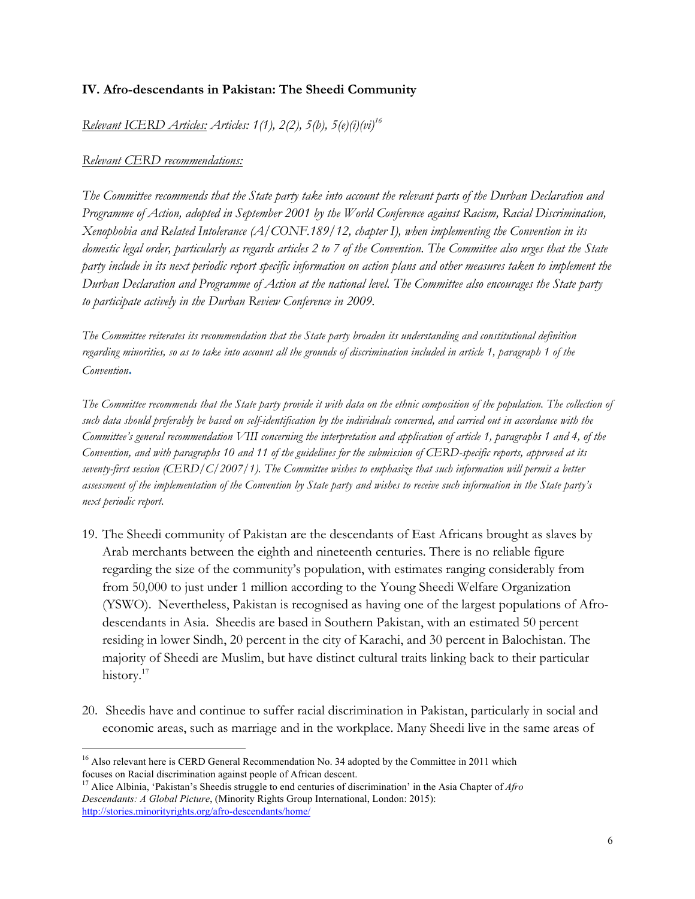# **IV. Afro-descendants in Pakistan: The Sheedi Community**

*Relevant ICERD Articles: Articles: 1(1), 2(2), 5(b), 5(e)(i)(vi)16* 

### *Relevant CERD recommendations:*

*The Committee recommends that the State party take into account the relevant parts of the Durban Declaration and Programme of Action, adopted in September 2001 by the World Conference against Racism, Racial Discrimination, Xenophobia and Related Intolerance (A/CONF.189/12, chapter I), when implementing the Convention in its domestic legal order, particularly as regards articles 2 to 7 of the Convention. The Committee also urges that the State party include in its next periodic report specific information on action plans and other measures taken to implement the Durban Declaration and Programme of Action at the national level. The Committee also encourages the State party to participate actively in the Durban Review Conference in 2009.* 

*The Committee reiterates its recommendation that the State party broaden its understanding and constitutional definition regarding minorities, so as to take into account all the grounds of discrimination included in article 1, paragraph 1 of the Convention***.**

*The Committee recommends that the State party provide it with data on the ethnic composition of the population. The collection of such data should preferably be based on self-identification by the individuals concerned, and carried out in accordance with the Committee's general recommendation VIII concerning the interpretation and application of article 1, paragraphs 1 and 4, of the Convention, and with paragraphs 10 and 11 of the guidelines for the submission of CERD-specific reports, approved at its seventy-first session (CERD/C/2007/1). The Committee wishes to emphasize that such information will permit a better assessment of the implementation of the Convention by State party and wishes to receive such information in the State party's next periodic report.*

- 19. The Sheedi community of Pakistan are the descendants of East Africans brought as slaves by Arab merchants between the eighth and nineteenth centuries. There is no reliable figure regarding the size of the community's population, with estimates ranging considerably from from 50,000 to just under 1 million according to the Young Sheedi Welfare Organization (YSWO). Nevertheless, Pakistan is recognised as having one of the largest populations of Afrodescendants in Asia. Sheedis are based in Southern Pakistan, with an estimated 50 percent residing in lower Sindh, 20 percent in the city of Karachi, and 30 percent in Balochistan. The majority of Sheedi are Muslim, but have distinct cultural traits linking back to their particular history.<sup>17</sup>
- 20. Sheedis have and continue to suffer racial discrimination in Pakistan, particularly in social and economic areas, such as marriage and in the workplace. Many Sheedi live in the same areas of

<sup>&</sup>lt;sup>16</sup> Also relevant here is CERD General Recommendation No. 34 adopted by the Committee in 2011 which focuses on Racial discrimination against people of African descent.

<sup>&</sup>lt;sup>17</sup> Alice Albinia, 'Pakistan's Sheedis struggle to end centuries of discrimination' in the Asia Chapter of *Afro Descendants: A Global Picture*, (Minority Rights Group International, London: 2015): http://stories.minorityrights.org/afro-descendants/home/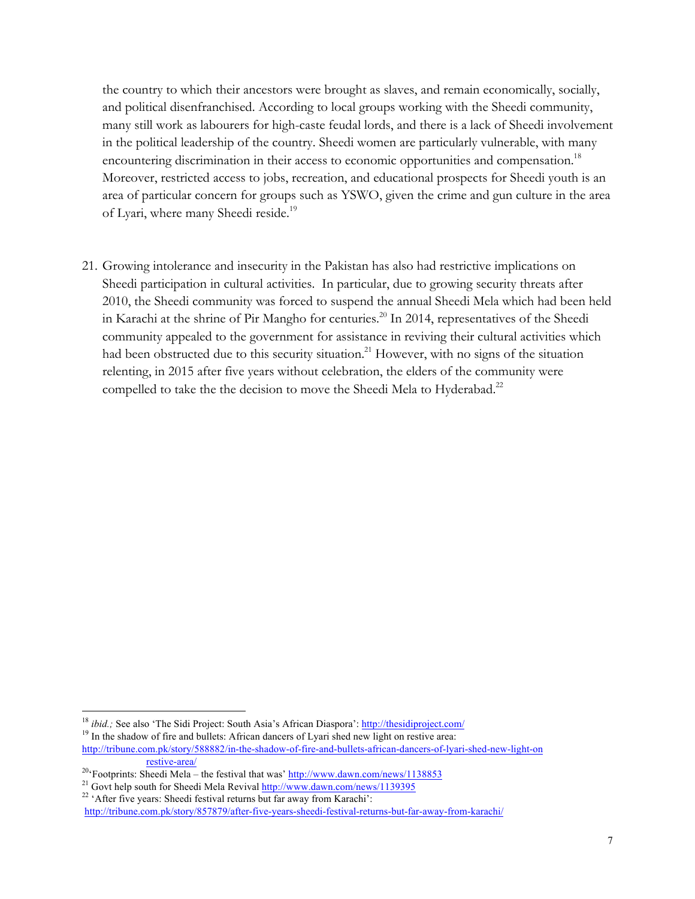the country to which their ancestors were brought as slaves, and remain economically, socially, and political disenfranchised. According to local groups working with the Sheedi community, many still work as labourers for high-caste feudal lords, and there is a lack of Sheedi involvement in the political leadership of the country. Sheedi women are particularly vulnerable, with many encountering discrimination in their access to economic opportunities and compensation.<sup>18</sup> Moreover, restricted access to jobs, recreation, and educational prospects for Sheedi youth is an area of particular concern for groups such as YSWO, given the crime and gun culture in the area of Lyari, where many Sheedi reside.<sup>19</sup>

21. Growing intolerance and insecurity in the Pakistan has also had restrictive implications on Sheedi participation in cultural activities. In particular, due to growing security threats after 2010, the Sheedi community was forced to suspend the annual Sheedi Mela which had been held in Karachi at the shrine of Pir Mangho for centuries.<sup>20</sup> In 2014, representatives of the Sheedi community appealed to the government for assistance in reviving their cultural activities which had been obstructed due to this security situation.<sup>21</sup> However, with no signs of the situation relenting, in 2015 after five years without celebration, the elders of the community were compelled to take the the decision to move the Sheedi Mela to Hyderabad.<sup>22</sup>

<sup>&</sup>lt;sup>18</sup> *ibid.*; See also 'The Sidi Project: South Asia's African Diaspora': http://thesidiproject.com/

<sup>&</sup>lt;sup>19</sup> In the shadow of fire and bullets: African dancers of Lyari shed new light on restive area:

http://tribune.com.pk/story/588882/in-the-shadow-of-fire-and-bullets-african-dancers-of-lyari-shed-new-light-on restive-area/

<sup>&</sup>lt;sup>20</sup>'Footprints: Sheedi Mela – the festival that was' http://www.dawn.com/news/1138853

<sup>&</sup>lt;sup>21</sup> Govt help south for Sheedi Mela Revival http://www.dawn.com/news/1139395

<sup>&</sup>lt;sup>22</sup> 'After five years: Sheedi festival returns but far away from Karachi':

http://tribune.com.pk/story/857879/after-five-years-sheedi-festival-returns-but-far-away-from-karachi/